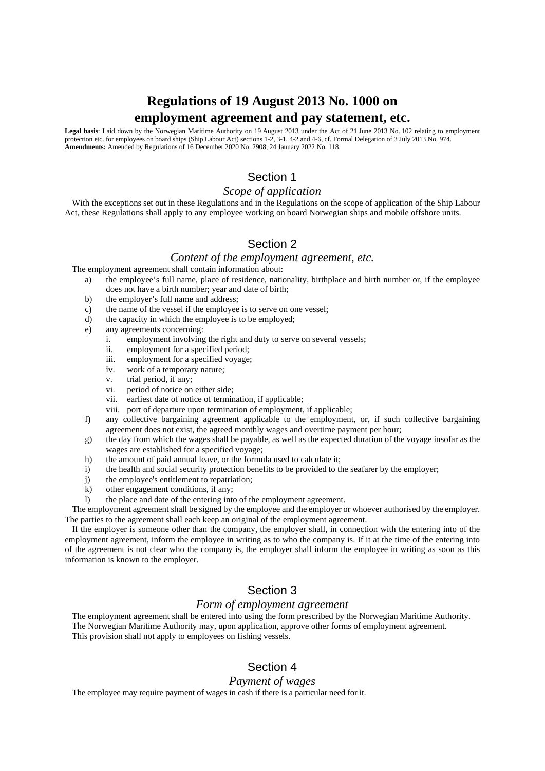# **Regulations of 19 August 2013 No. 1000 on employment agreement and pay statement, etc.**

**Legal basis**: Laid down by the Norwegian Maritime Authority on 19 August 2013 under the Act of 21 June 2013 No. 102 relating to employment protection etc. for employees on board ships (Ship Labour Act) sections 1-2, 3-1, 4-2 and 4-6, cf. Formal Delegation of 3 July 2013 No. 974. **Amendments:** Amended by Regulations of 16 December 2020 No. 2908, 24 January 2022 No. 118.

# Section 1

## *Scope of application*

With the exceptions set out in these Regulations and in the Regulations on the scope of application of the Ship Labour Act, these Regulations shall apply to any employee working on board Norwegian ships and mobile offshore units.

# Section 2

# *Content of the employment agreement, etc.*

The employment agreement shall contain information about:

- a) the employee's full name, place of residence, nationality, birthplace and birth number or, if the employee does not have a birth number; year and date of birth;
- b) the employer's full name and address;
- c) the name of the vessel if the employee is to serve on one vessel;
- d) the capacity in which the employee is to be employed;
- e) any agreements concerning:
	- i. employment involving the right and duty to serve on several vessels;
	- ii. employment for a specified period;
	- iii. employment for a specified voyage;
	- iv. work of a temporary nature;
	- v. trial period, if any;
	- vi. period of notice on either side;
	- vii. earliest date of notice of termination, if applicable;
	- viii. port of departure upon termination of employment, if applicable;
- f) any collective bargaining agreement applicable to the employment, or, if such collective bargaining agreement does not exist, the agreed monthly wages and overtime payment per hour;
- g) the day from which the wages shall be payable, as well as the expected duration of the voyage insofar as the wages are established for a specified voyage;
- h) the amount of paid annual leave, or the formula used to calculate it;
- i) the health and social security protection benefits to be provided to the seafarer by the employer;
- j) the employee's entitlement to repatriation;
- k) other engagement conditions, if any;
- l) the place and date of the entering into of the employment agreement.

The employment agreement shall be signed by the employee and the employer or whoever authorised by the employer. The parties to the agreement shall each keep an original of the employment agreement.

If the employer is someone other than the company, the employer shall, in connection with the entering into of the employment agreement, inform the employee in writing as to who the company is. If it at the time of the entering into of the agreement is not clear who the company is, the employer shall inform the employee in writing as soon as this information is known to the employer.

## Section 3

#### *Form of employment agreement*

The employment agreement shall be entered into using the form prescribed by the Norwegian Maritime Authority. The Norwegian Maritime Authority may, upon application, approve other forms of employment agreement. This provision shall not apply to employees on fishing vessels.

## Section 4

#### *Payment of wages*

The employee may require payment of wages in cash if there is a particular need for it.